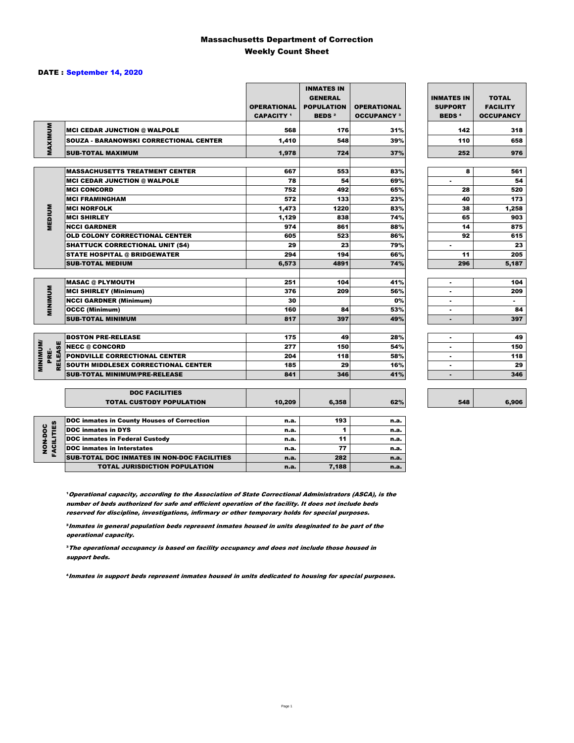### Massachusetts Department of Correction Weekly Count Sheet

### DATE : September 14, 2020

|                                   |                                                   | <b>OPERATIONAL</b><br><b>CAPACITY</b> <sup>1</sup> | <b>INMATES IN</b><br><b>GENERAL</b><br><b>POPULATION</b><br><b>BEDS<sup>2</sup></b> | <b>OPERATIONAL</b><br><b>OCCUPANCY 3</b> | <b>INMATES IN</b><br><b>SUPPORT</b><br><b>BEDS<sup>4</sup></b> | <b>TOTAL</b><br><b>FACILITY</b><br><b>OCCUPANCY</b> |
|-----------------------------------|---------------------------------------------------|----------------------------------------------------|-------------------------------------------------------------------------------------|------------------------------------------|----------------------------------------------------------------|-----------------------------------------------------|
|                                   | <b>MCI CEDAR JUNCTION @ WALPOLE</b>               | 568                                                | 176                                                                                 | 31%                                      | 142                                                            | 318                                                 |
|                                   | <b>SOUZA - BARANOWSKI CORRECTIONAL CENTER</b>     | 1,410                                              | 548                                                                                 | 39%                                      | 110                                                            | 658                                                 |
| MAXIMUM                           | <b>SUB-TOTAL MAXIMUM</b>                          | 1.978                                              | 724                                                                                 | 37%                                      | 252                                                            | 976                                                 |
|                                   |                                                   |                                                    |                                                                                     |                                          |                                                                |                                                     |
|                                   | <b>MASSACHUSETTS TREATMENT CENTER</b>             | 667                                                | 553                                                                                 | 83%                                      | 8                                                              | 561                                                 |
|                                   | <b>MCI CEDAR JUNCTION @ WALPOLE</b>               | 78                                                 | 54                                                                                  | 69%                                      | $\blacksquare$                                                 | 54                                                  |
|                                   | <b>MCI CONCORD</b>                                | 752                                                | 492                                                                                 | 65%                                      | 28                                                             | 520                                                 |
|                                   | <b>MCI FRAMINGHAM</b>                             | 572                                                | 133                                                                                 | 23%                                      | 40                                                             | 173                                                 |
|                                   | <b>MCI NORFOLK</b>                                | 1,473                                              | 1220                                                                                | 83%                                      | 38                                                             | 1,258                                               |
| <b>MEDIUM</b>                     | <b>MCI SHIRLEY</b>                                | 1,129                                              | 838                                                                                 | 74%                                      | 65                                                             | 903                                                 |
|                                   | <b>NCCI GARDNER</b>                               | 974                                                | 861                                                                                 | 88%                                      | 14                                                             | 875                                                 |
|                                   | <b>OLD COLONY CORRECTIONAL CENTER</b>             | 605                                                | 523                                                                                 | 86%                                      | 92                                                             | 615                                                 |
|                                   | <b>SHATTUCK CORRECTIONAL UNIT (S4)</b>            | 29                                                 | 23                                                                                  | 79%                                      | ٠                                                              | 23                                                  |
|                                   | <b>STATE HOSPITAL @ BRIDGEWATER</b>               | 294                                                | 194                                                                                 | 66%                                      | 11                                                             | 205                                                 |
|                                   | <b>SUB-TOTAL MEDIUM</b>                           | 6,573                                              | 4891                                                                                | 74%                                      | 296                                                            | 5,187                                               |
|                                   | <b>MASAC @ PLYMOUTH</b>                           | 251                                                | 104                                                                                 | 41%                                      | ٠                                                              | 104                                                 |
|                                   | <b>MCI SHIRLEY (Minimum)</b>                      | 376                                                | 209                                                                                 | 56%                                      | ۰                                                              | 209                                                 |
| <b>MINIMUM</b>                    | <b>NCCI GARDNER (Minimum)</b>                     | 30                                                 |                                                                                     | 0%                                       | ٠                                                              | $\sim$                                              |
|                                   | <b>OCCC (Minimum)</b>                             | 160                                                | 84                                                                                  | 53%                                      | $\overline{a}$                                                 | 84                                                  |
|                                   | <b>SUB-TOTAL MINIMUM</b>                          | 817                                                | 397                                                                                 | 49%                                      | ٠                                                              | 397                                                 |
|                                   |                                                   |                                                    |                                                                                     |                                          |                                                                |                                                     |
|                                   | <b>BOSTON PRE-RELEASE</b>                         | 175                                                | 49                                                                                  | 28%                                      | $\overline{a}$                                                 | 49                                                  |
| <b>MINIMINI</b><br><b>RELEASE</b> | <b>NECC @ CONCORD</b>                             | 277                                                | 150                                                                                 | 54%                                      |                                                                | 150                                                 |
| PRE-                              | PONDVILLE CORRECTIONAL CENTER                     | 204                                                | 118                                                                                 | 58%                                      |                                                                | 118                                                 |
|                                   | SOUTH MIDDLESEX CORRECTIONAL CENTER               | 185                                                | 29                                                                                  | 16%                                      | $\blacksquare$                                                 | 29                                                  |
|                                   | <b>SUB-TOTAL MINIMUM/PRE-RELEASE</b>              | 841                                                | 346                                                                                 | 41%                                      | $\blacksquare$                                                 | 346                                                 |
|                                   | <b>DOC FACILITIES</b>                             |                                                    |                                                                                     |                                          |                                                                |                                                     |
|                                   | <b>TOTAL CUSTODY POPULATION</b>                   | 10,209                                             | 6,358                                                                               | 62%                                      | 548                                                            | 6,906                                               |
|                                   | <b>DOC inmates in County Houses of Correction</b> | n.a.                                               | 193                                                                                 | n.a.                                     |                                                                |                                                     |
| <b>FACILITIES</b><br>NON-DOC      | <b>DOC</b> inmates in DYS                         | n.a.                                               | 1                                                                                   | n.a.                                     |                                                                |                                                     |
|                                   | <b>DOC inmates in Federal Custody</b>             | n.a.                                               | 11                                                                                  | n.a.                                     |                                                                |                                                     |
|                                   | <b>DOC</b> inmates in Interstates                 | n.a.                                               | 77                                                                                  | n.a.                                     |                                                                |                                                     |
|                                   | CUR TOTAL BOO INIMETED IN NON-BOO FACU ITIED      |                                                    | $\sim$                                                                              |                                          |                                                                |                                                     |

**Operational capacity, according to the Association of State Correctional Administrators (ASCA), is the** number of beds authorized for safe and efficient operation of the facility. It does not include beds reserved for discipline, investigations, infirmary or other temporary holds for special purposes.

SUB-TOTAL DOC INMATES IN NON-DOC FACILITIES n.a. 282 n.a.

TOTAL JURISDICTION POPULATION **n.a.** 7,188 n.a.

²Inmates in general population beds represent inmates housed in units desginated to be part of the operational capacity.

³The operational occupancy is based on facility occupancy and does not include those housed in support beds.

⁴Inmates in support beds represent inmates housed in units dedicated to housing for special purposes.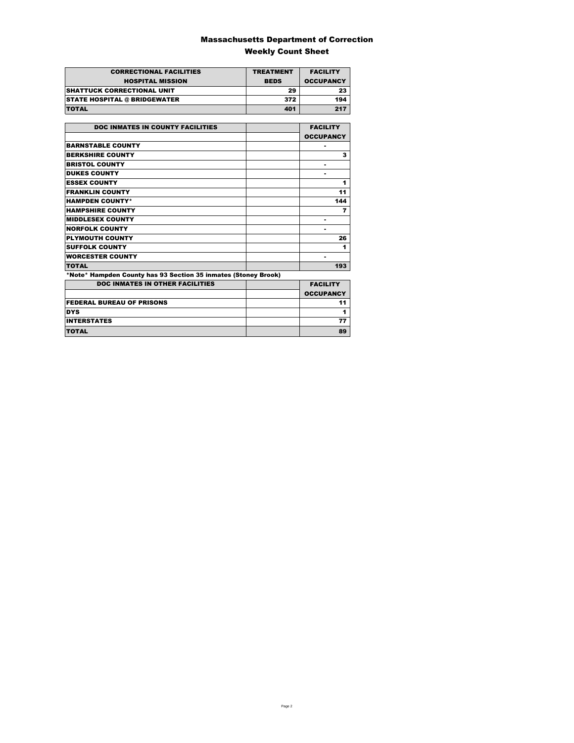### Massachusetts Department of Correction Weekly Count Sheet

| <b>CORRECTIONAL FACILITIES</b>      | <b>TREATMENT</b> | <b>FACILITY</b>  |
|-------------------------------------|------------------|------------------|
| <b>HOSPITAL MISSION</b>             | <b>BEDS</b>      | <b>OCCUPANCY</b> |
| <b>SHATTUCK CORRECTIONAL UNIT</b>   | 29               | 23               |
| <b>STATE HOSPITAL @ BRIDGEWATER</b> | 372              | 194              |
| <b>TOTAL</b>                        | 401              | 217              |

| <b>DOC INMATES IN COUNTY FACILITIES</b>                        | <b>FACILITY</b>  |
|----------------------------------------------------------------|------------------|
|                                                                | <b>OCCUPANCY</b> |
| <b>BARNSTABLE COUNTY</b>                                       |                  |
| <b>BERKSHIRE COUNTY</b>                                        | 3                |
| <b>BRISTOL COUNTY</b>                                          |                  |
| <b>DUKES COUNTY</b>                                            |                  |
| <b>ESSEX COUNTY</b>                                            | 1                |
| <b>FRANKLIN COUNTY</b>                                         | 11               |
| <b>HAMPDEN COUNTY*</b>                                         | 144              |
| <b>HAMPSHIRE COUNTY</b>                                        | 7                |
| <b>MIDDLESEX COUNTY</b>                                        | ٠                |
| <b>NORFOLK COUNTY</b>                                          |                  |
| <b>PLYMOUTH COUNTY</b>                                         | 26               |
| <b>SUFFOLK COUNTY</b>                                          | 1                |
| <b>WORCESTER COUNTY</b>                                        | ۰                |
| <b>TOTAL</b>                                                   | 193              |
| *Note* Hampden County has 93 Section 35 inmates (Stoney Brook) |                  |
| <b>DOC INMATES IN OTHER FACILITIES</b>                         | <b>FACILITY</b>  |
|                                                                | <b>OCCUPANCY</b> |
| <b>FEDERAL BUREAU OF PRISONS</b>                               | 11               |
| <b>DYS</b>                                                     | 1                |
| <b>INTERSTATES</b>                                             | 77               |
| TOTAL                                                          | 89               |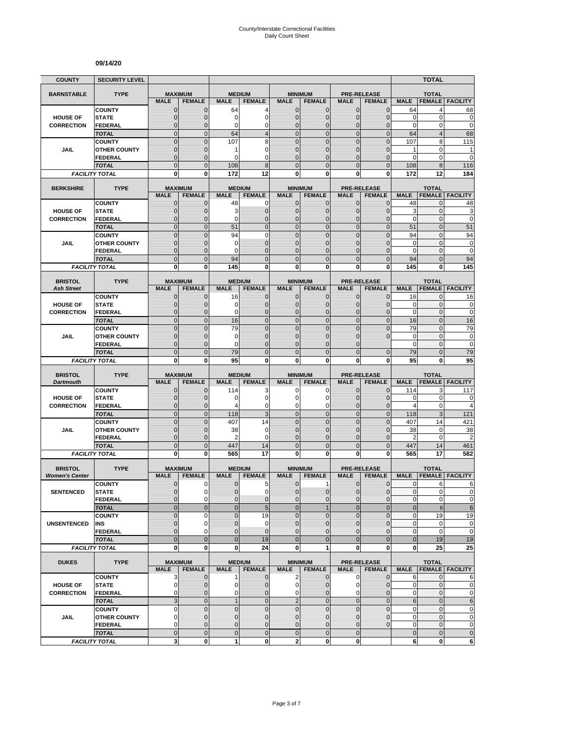#### **09/14/20**

| <b>COUNTY</b>                           | <b>SECURITY LEVEL</b>                 |                                  |                              |                             |                                  |                                |                                  |                                |                                     |                            | <b>TOTAL</b>                     |                             |
|-----------------------------------------|---------------------------------------|----------------------------------|------------------------------|-----------------------------|----------------------------------|--------------------------------|----------------------------------|--------------------------------|-------------------------------------|----------------------------|----------------------------------|-----------------------------|
| <b>BARNSTABLE</b>                       | <b>TYPE</b>                           | <b>MAXIMUM</b>                   |                              | <b>MEDIUM</b>               |                                  |                                | <b>MINIMUM</b>                   |                                | <b>PRE-RELEASE</b>                  |                            | <b>TOTAL</b>                     |                             |
|                                         |                                       | <b>MALE</b>                      | <b>FEMALE</b>                | <b>MALE</b>                 | <b>FEMALE</b>                    | <b>MALE</b>                    | <b>FEMALE</b>                    | <b>MALE</b>                    | <b>FEMALE</b>                       | <b>MALE</b>                | <b>FEMALE</b>                    | <b>FACILITY</b>             |
|                                         | <b>COUNTY</b>                         | $\mathbf 0$                      | $\mathbf{0}$                 | 64                          | 4                                | $\mathbf 0$                    | 0                                | $\mathbf{0}$                   | $\mathbf{0}$                        | 64                         | 4                                | 68                          |
| <b>HOUSE OF</b>                         | <b>STATE</b>                          | $\overline{0}$                   | $\mathbf 0$                  | 0<br>0                      | $\overline{0}$<br>0              | $\mathbf 0$<br>$\mathbf{0}$    | $\overline{0}$                   | $\mathbf{0}$                   | $\overline{0}$                      | $\mathbf 0$<br>$\mathbf 0$ | 0<br>0                           | $\mathbf 0$<br>$\mathbf 0$  |
| <b>CORRECTION</b>                       | FEDERAL<br><b>TOTAL</b>               | $\mathbf 0$<br>$\mathbf 0$       | $\mathbf 0$<br>$\mathbf{0}$  | 64                          | $\overline{4}$                   | $\overline{0}$                 | $\mathbf 0$<br>$\mathbf 0$       | $\mathbf 0$<br>$\mathbf{0}$    | $\overline{0}$<br>$\mathbf 0$       | 64                         | $\overline{4}$                   | 68                          |
|                                         | <b>COUNTY</b>                         | $\mathbf 0$                      | $\mathbf{0}$                 | 107                         | 8                                | $\overline{0}$                 | $\mathbf 0$                      | $\mathbf 0$                    | $\overline{0}$                      | 107                        | 8                                | 115                         |
| JAIL                                    | <b>OTHER COUNTY</b>                   | $\mathbf 0$                      | $\mathbf 0$                  | 1                           | 0                                | $\mathbf{0}$                   | $\overline{0}$                   | $\mathbf 0$                    | $\overline{0}$                      | 1                          | $\mathbf 0$                      | 1                           |
|                                         | <b>FEDERAL</b>                        | $\overline{0}$                   | $\mathbf{0}$                 | $\Omega$                    | $\Omega$                         | $\Omega$                       | $\overline{0}$                   | $\Omega$                       | $\overline{0}$                      | 0                          | 0                                | $\mathbf 0$                 |
|                                         | <b>TOTAL</b>                          | $\overline{0}$                   | $\mathbf{0}$                 | 108                         | 8                                | $\Omega$                       | $\overline{0}$                   | $\Omega$                       | $\overline{0}$                      | 108                        | 8                                | 116                         |
|                                         | <b>FACILITY TOTAL</b>                 | 0                                | 0                            | 172                         | 12                               | $\mathbf{0}$                   | 0                                | 0                              | 0                                   | 172                        | 12                               | 184                         |
| <b>BERKSHIRE</b>                        | <b>TYPE</b>                           | <b>MAXIMUM</b>                   |                              |                             | <b>MEDIUM</b>                    |                                | <b>MINIMUM</b>                   |                                | <b>PRE-RELEASE</b>                  |                            | <b>TOTAL</b>                     |                             |
|                                         |                                       | <b>MALE</b>                      | <b>FEMALE</b>                | <b>MALE</b>                 | <b>FEMALE</b>                    | <b>MALE</b>                    | <b>FEMALE</b>                    | <b>MALE</b>                    | <b>FEMALE</b>                       | <b>MALE</b>                | <b>FEMALE</b>                    | <b>FACILITY</b>             |
|                                         | <b>COUNTY</b>                         | $\mathbf{0}$                     | $\mathbf 0$                  | 48                          | 0                                | $\mathbf{0}$                   | $\mathbf{0}$                     | $\mathbf{0}$                   | $\mathbf 0$                         | 48                         | 0                                | 48                          |
| <b>HOUSE OF</b>                         | <b>STATE</b>                          | 0                                | $\mathbf{0}$                 | 3                           | $\mathbf 0$                      | $\mathbf{0}$                   | $\mathbf 0$                      | $\mathbf{0}$                   | $\mathbf{0}$                        | 3                          | 0                                | 3                           |
| <b>CORRECTION</b>                       | <b>FEDERAL</b><br><b>TOTAL</b>        | $\mathbf 0$<br>$\overline{0}$    | $\mathbf 0$<br>$\mathbf{0}$  | 0<br>51                     | $\overline{0}$<br>$\overline{0}$ | $\mathbf{0}$<br>$\overline{0}$ | $\overline{0}$<br>$\overline{0}$ | $\mathbf{0}$<br>$\mathbf{0}$   | $\mathbf 0$<br>$\overline{0}$       | $\mathbf 0$<br>51          | 0<br>$\overline{0}$              | $\mathbf 0$<br>51           |
|                                         | <b>COUNTY</b>                         | $\overline{0}$                   | $\overline{0}$               | 94                          | $\mathbf 0$                      | $\overline{0}$                 | $\overline{0}$                   | $\overline{0}$                 | $\overline{0}$                      | 94                         | $\mathbf{0}$                     | 94                          |
| JAIL                                    | <b>OTHER COUNTY</b>                   | 0                                | $\mathbf{0}$                 | 0                           | $\overline{0}$                   | $\mathbf{0}$                   | $\mathbf 0$                      | $\Omega$                       | $\mathbf{0}$                        | $\mathbf 0$                | $\mathbf{0}$                     | $\bf{0}$                    |
|                                         | <b>FEDERAL</b>                        | $\mathbf 0$                      | $\mathbf{0}$                 | 0                           | $\overline{0}$                   | $\mathbf{0}$                   | $\overline{0}$                   | $\mathbf 0$                    | $\overline{0}$                      | $\mathbf 0$                | $\mathbf{0}$                     | $\mathbf 0$                 |
|                                         | <b>TOTAL</b>                          | $\mathbf 0$                      | $\mathbf{0}$                 | 94                          | $\overline{0}$                   | $\mathbf{0}$                   | $\mathbf 0$                      | $\mathbf{0}$                   | $\mathbf 0$                         | 94                         | $\overline{0}$                   | 94                          |
|                                         | <b>FACILITY TOTAL</b>                 | 0                                | $\bf{0}$                     | 145                         | 0                                | 0                              | $\bf{0}$                         | 0                              | 0                                   | 145                        | 0                                | 145                         |
| <b>BRISTOL</b>                          | <b>TYPE</b>                           | <b>MAXIMUM</b>                   |                              |                             | <b>MEDIUM</b>                    |                                | <b>MINIMUM</b>                   |                                | <b>PRE-RELEASE</b>                  |                            | <b>TOTAL</b>                     |                             |
| <b>Ash Street</b>                       |                                       | <b>MALE</b>                      | <b>FEMALE</b>                | <b>MALE</b>                 | <b>FEMALE</b>                    | <b>MALE</b>                    | <b>FEMALE</b>                    | <b>MALE</b>                    | <b>FEMALE</b>                       | <b>MALE</b>                | <b>FEMALE</b>                    | <b>FACILITY</b>             |
|                                         | <b>COUNTY</b>                         | 0                                | $\mathbf{0}$                 | 16                          | 0                                | $\mathbf 0$                    | 0                                | $\mathbf{0}$                   | $\mathbf{0}$                        | 16                         | 0                                | 16                          |
| <b>HOUSE OF</b>                         | <b>STATE</b>                          | $\mathbf{0}$                     | $\mathbf{0}$                 | 0                           | $\mathbf 0$                      | $\mathbf{0}$                   | $\mathbf{0}$                     | $\mathbf{0}$                   | $\mathbf{0}$                        | 0                          | 0                                | $\pmb{0}$                   |
| <b>CORRECTION</b>                       | <b>FEDERAL</b>                        | $\mathbf{0}$                     | $\mathbf{0}$                 | 0                           | $\mathbf{0}$                     | $\mathbf{0}$                   | $\overline{0}$                   | $\mathbf{0}$                   | $\overline{0}$                      | $\mathbf 0$                | $\mathbf{0}$                     | $\mathbf 0$                 |
|                                         | <b>TOTAL</b>                          | $\overline{0}$<br>$\overline{0}$ | $\mathbf{0}$<br>$\Omega$     | 16<br>79                    | $\overline{0}$<br>$\overline{0}$ | $\mathbf 0$<br>$\mathbf 0$     | $\overline{0}$<br>$\overline{0}$ | $\mathbf{0}$<br>$\overline{0}$ | $\overline{0}$<br>$\overline{0}$    | 16<br>79                   | $\overline{0}$<br>$\overline{0}$ | 16                          |
| JAIL                                    | <b>COUNTY</b><br><b>OTHER COUNTY</b>  | $\mathbf 0$                      | $\mathbf 0$                  | 0                           | $\overline{0}$                   | $\mathbf{0}$                   | $\overline{0}$                   | $\mathbf 0$                    | $\overline{0}$                      | $\mathbf 0$                | $\mathbf{0}$                     | 79<br>$\mathbf 0$           |
|                                         | <b>FEDERAL</b>                        | $\overline{0}$                   | $\mathbf{0}$                 | 0                           | $\overline{0}$                   | $\Omega$                       | $\overline{0}$                   | $\Omega$                       |                                     | $\mathbf 0$                | 0                                | $\mathbf 0$                 |
|                                         | <b>TOTAL</b>                          | $\overline{0}$                   | $\mathbf{0}$                 | 79                          | $\overline{0}$                   | $\overline{0}$                 | $\overline{0}$                   | $\overline{0}$                 | $\mathbf{0}$                        | 79                         | $\overline{0}$                   | 79                          |
|                                         | <b>FACILITY TOTAL</b>                 | 0                                | 0                            | 95                          | 0                                | 0                              | 0                                | 0                              | 0                                   | 95                         | 0                                | 95                          |
|                                         |                                       |                                  |                              |                             |                                  |                                |                                  |                                |                                     |                            |                                  |                             |
| <b>BRISTOL</b><br><b>Dartmouth</b>      | <b>TYPE</b>                           | <b>MAXIMUM</b><br><b>MALE</b>    | <b>FEMALE</b>                | <b>MALE</b>                 | <b>MEDIUM</b><br><b>FEMALE</b>   | <b>MALE</b>                    | <b>MINIMUM</b><br><b>FEMALE</b>  | <b>MALE</b>                    | <b>PRE-RELEASE</b><br><b>FEMALE</b> | <b>MALE</b>                | <b>TOTAL</b><br><b>FEMALE</b>    | <b>FACILITY</b>             |
|                                         | <b>COUNTY</b>                         | $\mathbf 0$                      | $\mathbf 0$                  | 114                         | 3                                | 0                              | 0                                | $\mathbf 0$                    | 0                                   | 114                        | 3                                | 117                         |
| <b>HOUSE OF</b>                         | <b>STATE</b>                          | $\mathbf 0$                      | $\mathbf{0}$                 | 0                           | $\mathbf 0$                      | $\Omega$                       | 0                                | $\Omega$                       | $\mathbf{0}$                        | 0                          | $\mathbf 0$                      | 0                           |
| <b>CORRECTION</b>                       | <b>FEDERAL</b>                        | $\mathbf 0$                      | $\mathbf{0}$                 | 4                           | 0                                | 0                              | 0                                | $\mathbf 0$                    | $\mathbf{0}$                        | $\overline{4}$             | 0                                | $\overline{4}$              |
|                                         | <b>TOTAL</b>                          | $\mathbf 0$                      | $\mathbf{0}$                 | 118                         | 3                                | $\overline{0}$                 | $\mathbf 0$                      | $\mathbf{0}$                   | $\overline{0}$                      | 118                        | 3                                | 121                         |
| JAIL                                    | <b>COUNTY</b><br><b>OTHER COUNTY</b>  | $\mathbf 0$<br>$\overline{0}$    | $\mathbf{0}$<br>$\mathbf{0}$ | 407<br>38                   | 14<br>$\mathbf 0$                | $\mathbf{0}$<br>$\mathbf{0}$   | $\mathbf 0$<br>$\overline{0}$    | $\mathbf{0}$<br>$\mathbf 0$    | $\mathbf 0$<br>$\overline{0}$       | 407<br>38                  | 14<br>0                          | 421<br>38                   |
|                                         | <b>FEDERAL</b>                        | $\mathbf 0$                      | $\mathbf{0}$                 | 2                           | 0                                | $\mathbf{0}$                   | 0                                | $\mathbf{0}$                   | $\mathbf 0$                         | $\overline{2}$             | $\mathbf 0$                      | $\overline{c}$              |
|                                         | <b>TOTAL</b>                          | $\mathbf 0$                      | $\overline{0}$               | 447                         | 14                               | $\mathbf 0$                    | $\mathbf 0$                      | $\overline{0}$                 | $\mathbf 0$                         | 447                        | 14                               | 461                         |
|                                         | <b>FACILITY TOTAL</b>                 | $\mathbf 0$                      | $\mathbf{0}$                 | 565                         | 17                               | $\mathbf{0}$                   | $\bf{0}$                         | 0                              | 0                                   | 565                        | 17                               | 582                         |
|                                         |                                       |                                  |                              |                             |                                  |                                |                                  |                                |                                     |                            |                                  |                             |
| <b>BRISTOL</b><br><b>Women's Center</b> | <b>TYPE</b>                           | <b>MAXIMUM</b><br><b>MALE</b>    | <b>FEMALE</b>                | <b>MALE</b>                 | <b>MEDIUM</b><br><b>FEMALE</b>   | <b>MALE</b>                    | <b>MINIMUM</b><br><b>FEMALE</b>  | <b>MALE</b>                    | <b>PRE-RELEASE</b><br><b>FEMALE</b> | <b>MALE</b>                | <b>TOTAL</b><br><b>FEMALE</b>    | <b>FACILITY</b>             |
|                                         | <b>COUNTY</b>                         | 0                                | 0                            | 0                           | 5                                | $\mathbf 0$                    | 1                                | 0                              | $\mathbf 0$                         | 0                          | 6                                | 6                           |
| <b>SENTENCED</b>                        | <b>STATE</b>                          | $\overline{0}$                   | $\Omega$                     | $\overline{0}$              | 0                                | $\overline{0}$                 | $\mathbf 0$                      | $\mathbf{0}$                   | $\mathbf{0}$                        | $\mathbf{0}$               | $\overline{0}$                   | 0                           |
|                                         | <b>FEDERAL</b>                        | 0                                | $\mathbf 0$                  | 0                           | $\mathbf 0$                      | $\mathbf{0}$                   | $\mathbf{0}$                     | $\mathbf 0$                    | $\mathbf 0$                         | $\pmb{0}$                  | 0                                | $\pmb{0}$                   |
|                                         | <b>TOTAL</b>                          | $\mathbf 0$                      | $\mathbf{0}$                 | $\overline{0}$              | 5                                | $\mathbf{0}$                   | $\mathbf{1}$                     | $\mathbf{0}$                   | $\overline{0}$                      | $\bf 0$                    | 6                                | $\,6$                       |
|                                         | <b>COUNTY</b>                         | $\mathbf 0$                      | $\mathbf 0$                  | $\overline{0}$              | 19                               | $\Omega$                       | $\overline{0}$                   | $\mathbf 0$                    | $\overline{0}$                      | $\pmb{0}$                  | 19                               | 19                          |
| <b>UNSENTENCED</b>                      | INS<br><b>FEDERAL</b>                 | 0<br>$\overline{0}$              | $\mathbf 0$<br>$\Omega$      | $\pmb{0}$<br>$\overline{0}$ | 0<br>$\overline{0}$              | $\mathbf 0$<br>$\mathbf{0}$    | 0<br>$\overline{0}$              | $\mathbf{0}$<br>$\Omega$       | $\mathbf{0}$<br>$\overline{0}$      | $\pmb{0}$<br>$\pmb{0}$     | 0<br>0                           | $\pmb{0}$<br>$\mathbf 0$    |
|                                         | <b>TOTAL</b>                          | $\overline{0}$                   | $\overline{0}$               | $\mathbf 0$                 | 19                               | $\overline{0}$                 | $\overline{0}$                   | $\overline{0}$                 | $\overline{0}$                      | $\bf 0$                    | 19                               | 19                          |
|                                         | <b>FACILITY TOTAL</b>                 | $\mathbf{0}$                     | $\mathbf{0}$                 | 0                           | 24                               | $\mathbf{0}$                   | 1                                | $\mathbf 0$                    | 0                                   | 0                          | 25                               | 25                          |
|                                         |                                       |                                  |                              |                             |                                  |                                |                                  |                                |                                     |                            |                                  |                             |
| <b>DUKES</b>                            | <b>TYPE</b>                           | <b>MAXIMUM</b><br><b>MALE</b>    | <b>FEMALE</b>                | <b>MALE</b>                 | <b>MEDIUM</b><br><b>FEMALE</b>   | <b>MALE</b>                    | <b>MINIMUM</b><br><b>FEMALE</b>  | <b>MALE</b>                    | <b>PRE-RELEASE</b><br><b>FEMALE</b> |                            | <b>TOTAL</b>                     | <b>MALE FEMALE FACILITY</b> |
|                                         | <b>COUNTY</b>                         | 3                                | $\mathbf{0}$                 | 1                           | $\mathbf 0$                      | $\overline{2}$                 | $\mathbf{0}$                     | $\mathbf 0$                    | $\overline{0}$                      | 6                          | $\mathbf{0}$                     | 6                           |
| <b>HOUSE OF</b>                         | <b>STATE</b>                          | $\mathbf 0$                      | 0                            | 0                           | $\overline{0}$                   | $\overline{0}$                 | 0                                | 0                              | $\overline{0}$                      | 0                          | 0                                | $\mathbf 0$                 |
| <b>CORRECTION</b>                       | <b>FEDERAL</b>                        | 0                                | $\mathbf{0}$                 | 0                           | $\mathbf 0$                      | $\overline{0}$                 | $\overline{0}$                   | $\mathbf 0$                    | $\overline{0}$                      | 0                          | 0                                | $\mathbf 0$                 |
|                                         | <b>TOTAL</b>                          | 3                                | $\mathbf 0$                  | $\mathbf{1}$                | $\mathbf 0$                      | $\overline{2}$                 | $\mathbf 0$                      | $\mathbf 0$                    | $\overline{0}$                      | $6\phantom{1}$             | $\mathbf 0$                      | $\,6$                       |
|                                         | <b>COUNTY</b>                         | 0<br>$\overline{0}$              | $\mathbf{0}$<br>$\mathbf{0}$ | $\pmb{0}$<br>$\mathbf 0$    | $\mathbf 0$<br>$\overline{0}$    | $\mathbf 0$<br>$\mathbf{0}$    | $\mathbf 0$<br>$\mathbf 0$       | $\mathbf 0$<br>$\mathbf{0}$    | $\mathbf 0$<br>$\overline{0}$       | 0<br>$\mathbf 0$           | $\pmb{0}$<br>$\mathbf{0}$        | $\pmb{0}$<br>$\pmb{0}$      |
| JAIL                                    | <b>OTHER COUNTY</b><br><b>FEDERAL</b> | 0                                | $\mathbf 0$                  | 0                           | 0                                | $\mathbf 0$                    | 0                                | $\mathbf 0$                    | $\mathbf 0$                         | 0                          | $\pmb{0}$                        | $\pmb{0}$                   |
|                                         | <b>TOTAL</b>                          | $\mathbf 0$                      | $\mathbf{0}$                 | $\pmb{0}$                   | $\mathbf 0$                      | $\mathbf 0$                    | $\mathbf 0$                      | $\mathbf{0}$                   |                                     | $\pmb{0}$                  | $\mathbf 0$                      | $\pmb{0}$                   |
|                                         | <b>FACILITY TOTAL</b>                 | 3                                | $\mathbf 0$                  | 1                           | $\mathbf{0}$                     | $\mathbf{2}$                   | $\mathbf{0}$                     | $\mathbf{0}$                   |                                     | 6                          | 0                                | $\bf 6$                     |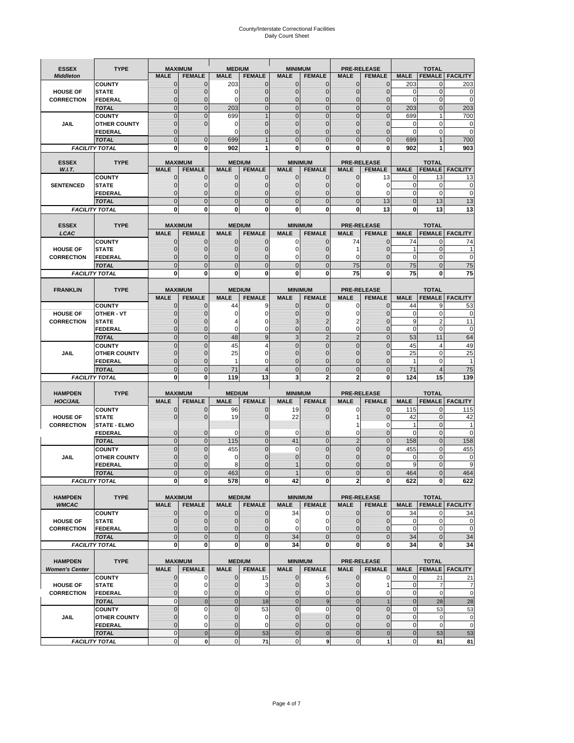# County/Interstate Correctional Facilities Daily Count Sheet

| <b>ESSEX</b>                            | <b>TYPE</b>                          |                                | <b>MAXIMUM</b>                   | <b>MEDIUM</b>               |                                | <b>MINIMUM</b>              |                                |                               | <b>PRE-RELEASE</b>                  |                  | <b>TOTAL</b>               |                          |
|-----------------------------------------|--------------------------------------|--------------------------------|----------------------------------|-----------------------------|--------------------------------|-----------------------------|--------------------------------|-------------------------------|-------------------------------------|------------------|----------------------------|--------------------------|
| <b>Middleton</b>                        |                                      | <b>MALE</b>                    | <b>FEMALE</b>                    | <b>MALE</b>                 | <b>FEMALE</b>                  | <b>MALE</b>                 | <b>FEMALE</b>                  | MALE                          | <b>FEMALE</b>                       | <b>MALE</b>      | <b>FEMALE</b>              | <b>FACILITY</b>          |
|                                         | <b>COUNTY</b>                        | 0                              | 0                                | 203                         | 0                              | $\mathbf 0$                 | $\mathbf{0}$                   | $\mathbf{0}$                  | $\Omega$                            | 203              | 0                          | 203                      |
| <b>HOUSE OF</b>                         | <b>STATE</b>                         | 0                              | $\mathbf 0$                      | $\Omega$                    | 0                              | $\mathbf{0}$                | $\Omega$                       | $\mathbf 0$                   | $\Omega$                            | $\Omega$         | $\Omega$                   | 0                        |
| <b>CORRECTION</b>                       | <b>FEDERAL</b>                       | 0                              | $\mathbf 0$                      | 0                           | 0                              | $\mathbf{0}$                | $\mathbf 0$                    | $\mathbf{0}$                  | $\mathbf 0$                         | $\mathbf 0$      | $\mathbf{0}$               | $\mathbf 0$              |
|                                         | <b>TOTAL</b>                         | $\overline{0}$<br>$\mathbf 0$  | $\overline{0}$<br>$\overline{0}$ | 203                         | $\mathbf 0$<br>1               | $\mathbf 0$<br>$\mathbf{0}$ | $\overline{0}$<br>$\Omega$     | $\mathbf 0$<br>$\mathbf 0$    | $\overline{0}$<br>$\Omega$          | 203<br>699       | $\mathbf{0}$<br>1          | 203                      |
| JAIL                                    | <b>COUNTY</b><br><b>OTHER COUNTY</b> | $\mathbf 0$                    | $\overline{0}$                   | 699<br>0                    | 0                              | $\mathbf{0}$                | $\mathbf{0}$                   | $\mathbf 0$                   | ſ                                   | $\Omega$         | $\mathbf 0$                | 700<br>0                 |
|                                         | <b>FEDERAL</b>                       | $\mathbf{0}$                   |                                  | $\Omega$                    | $\Omega$                       | $\mathbf{0}$                | $\Omega$                       | $\mathbf{0}$                  | 0                                   | $\Omega$         | $\mathbf 0$                | $\mathbf 0$              |
|                                         | <b>TOTAL</b>                         | $\overline{0}$                 | $\mathbf 0$                      | 699                         |                                | $\Omega$                    | $\Omega$                       | $\overline{0}$                | $\Omega$                            | 699              |                            | 700                      |
|                                         | <b>FACILITY TOTAL</b>                | 0                              | 0                                | 902                         |                                | $\bf{0}$                    | 0                              | 0                             | 0                                   | 902              |                            | 903                      |
|                                         |                                      |                                |                                  |                             |                                |                             |                                |                               |                                     |                  |                            |                          |
| <b>ESSEX</b>                            | <b>TYPE</b>                          |                                | <b>MAXIMUM</b>                   |                             | <b>MEDIUM</b>                  |                             | <b>MINIMUM</b>                 |                               | <b>PRE-RELEASE</b>                  |                  | <b>TOTAL</b>               |                          |
| W.I.T.                                  | <b>COUNTY</b>                        | <b>MALE</b><br>$\mathbf{0}$    | <b>FEMALE</b><br>0               | <b>MALE</b><br>$\mathbf 0$  | <b>FEMALE</b><br>0             | <b>MALE</b><br>$\mathbf 0$  | <b>FEMALE</b><br>$\mathbf{0}$  | <b>MALE</b><br>0              | <b>FEMALE</b><br>13                 | <b>MALE</b><br>0 | <b>FEMALE</b><br>13        | <b>FACILITY</b><br>13    |
| <b>SENTENCED</b>                        | <b>STATE</b>                         | 0                              | $\mathbf 0$                      | $\mathbf{0}$                | $\overline{0}$                 | $\mathbf{0}$                | $\mathbf{0}$                   | 0                             | $\Omega$                            | $\mathbf 0$      | $\mathbf 0$                | 0                        |
|                                         | <b>FEDERAL</b>                       | $\overline{0}$                 | $\mathbf 0$                      | $\mathbf{0}$                | 0                              | $\mathbf{0}$                | 0                              | $\mathbf 0$                   | $\Omega$                            | $\mathbf{0}$     | $\Omega$                   | $\mathbf 0$              |
|                                         | <b>TOTAL</b>                         | $\overline{0}$                 | $\overline{0}$                   | $\mathbf{0}$                | $\overline{0}$                 | $\mathbf{0}$                | $\overline{0}$                 | $\overline{0}$                | 13                                  | $\mathbf{0}$     | 13                         | 13                       |
|                                         | <b>FACILITY TOTAL</b>                | 0                              | 0                                | $\bf{0}$                    | O                              | $\bf{0}$                    | 0                              | 0                             | 13                                  | $\bf{0}$         | 13                         | 13                       |
|                                         |                                      |                                |                                  |                             |                                |                             |                                |                               |                                     |                  |                            |                          |
| <b>ESSEX</b>                            | <b>TYPE</b>                          |                                | <b>MAXIMUM</b>                   |                             | <b>MEDIUM</b>                  |                             | <b>MINIMUM</b>                 |                               | <b>PRE-RELEASE</b>                  |                  | <b>TOTAL</b>               |                          |
| LCAC                                    |                                      | <b>MALE</b>                    | <b>FEMALE</b>                    | <b>MALE</b>                 | <b>FEMALE</b>                  | <b>MALE</b>                 | <b>FEMALE</b>                  | <b>MALE</b>                   | <b>FEMALE</b>                       | <b>MALE</b>      |                            | <b>FEMALE   FACILITY</b> |
|                                         | <b>COUNTY</b>                        | 0                              | 0                                | $\mathbf{0}$                | 0                              | 0                           | $\mathbf{0}$                   | 74                            | $\Omega$                            | 74               | $\Omega$                   | 74                       |
| <b>HOUSE OF</b><br><b>CORRECTION</b>    | <b>STATE</b><br>FEDERAL              | 0<br>0                         | $\overline{0}$<br>0              | $\mathbf 0$<br>$\mathbf{0}$ | 0<br>0                         | $\mathbf 0$<br>0            | $\Omega$<br>$\Omega$           | 1<br>0                        | $\Omega$<br>$\mathbf 0$             | 1<br>$\mathbf 0$ | $\mathbf 0$<br>$\mathbf 0$ | $\mathbf 0$              |
|                                         | <b>TOTAL</b>                         | $\Omega$                       | $\overline{0}$                   | $\mathbf 0$                 | $\overline{0}$                 | $\mathbf{0}$                | $\Omega$                       | 75                            | $\Omega$                            | 75               | $\Omega$                   | 75                       |
|                                         | <b>FACILITY TOTAL</b>                | 0                              | 0                                | 0                           | 0                              | $\bf{0}$                    | 0                              | 75                            | $\bf{0}$                            | 75               | 0                          | 75                       |
|                                         |                                      |                                |                                  |                             |                                |                             |                                |                               |                                     |                  |                            |                          |
| <b>FRANKLIN</b>                         | <b>TYPE</b>                          |                                | <b>MAXIMUM</b>                   |                             | <b>MEDIUM</b>                  |                             | <b>MINIMUM</b>                 |                               | <b>PRE-RELEASE</b>                  |                  | <b>TOTAL</b>               |                          |
|                                         |                                      | <b>MALE</b>                    | <b>FEMALE</b>                    | <b>MALE</b>                 | <b>FEMALE</b>                  | <b>MALE</b>                 | <b>FEMALE</b>                  | <b>MALE</b>                   | <b>FEMALE</b>                       | <b>MALE</b>      | <b>FEMALE</b>              | <b>FACILITY</b>          |
|                                         | <b>COUNTY</b>                        | $\mathbf{0}$                   | 0                                | 44                          | 9                              | $\mathbf{0}$                | 0                              | 0                             | $\Omega$                            | 44               | 9                          | 53                       |
| <b>HOUSE OF</b>                         | <b>OTHER - VT</b>                    | 0                              | $\overline{0}$                   | 0                           | 0                              | $\mathbf{0}$                | 0                              | $\mathbf 0$                   | $\Omega$                            | $\mathbf 0$      | $\mathbf 0$                | $\mathbf 0$              |
| <b>CORRECTION</b>                       | <b>STATE</b>                         | $\Omega$                       | $\mathbf 0$                      |                             | 0                              | 3                           | 2                              | 2                             | $\sqrt{ }$                          | 9                | $\overline{2}$             | 11                       |
|                                         | FEDERAL                              | $\mathbf{0}$<br>$\overline{0}$ | $\overline{0}$                   | 0                           | 0<br>9                         | $\mathbf{0}$                | $\mathbf{0}$<br>$\overline{2}$ | 0                             | $\overline{0}$                      | $\mathbf 0$      | 0                          | $\mathbf 0$              |
|                                         | <b>TOTAL</b><br><b>COUNTY</b>        | $\Omega$                       | $\mathbf{0}$<br>$\overline{0}$   | 48<br>45                    | 4                              | 3<br>$\Omega$               | $\Omega$                       | $\overline{2}$<br>$\mathbf 0$ | $\overline{0}$<br>$\Omega$          | 53<br>45         | 11<br>$\overline{4}$       | 64<br>49                 |
| JAIL                                    | <b>OTHER COUNTY</b>                  | 0                              | $\overline{0}$                   | 25                          | 0                              | $\Omega$                    | $\Omega$                       | $\mathbf 0$                   | $\sqrt{ }$                          | 25               | $\mathbf 0$                | 25                       |
|                                         | <b>FEDERAL</b>                       | 0                              | 0                                | 1                           | 0                              | $\mathbf{0}$                | $\mathbf 0$                    | 0                             | $\mathcal{C}$                       | 1                | $\mathbf 0$                | 1                        |
|                                         | <b>TOTAL</b>                         | $\mathbf 0$                    | $\overline{0}$                   | 71                          | 4                              | $\mathbf{0}$                | $\Omega$                       | $\overline{0}$                | $\Omega$                            | 71               | $\overline{4}$             | 75                       |
|                                         | <b>FACILITY TOTAL</b>                | 0                              | 0                                | 119                         | 13                             | 3                           | $\overline{2}$                 | $\overline{2}$                | 0                                   | 124              | 15                         | 139                      |
|                                         |                                      |                                |                                  |                             |                                |                             |                                |                               |                                     |                  |                            |                          |
| <b>HAMPDEN</b>                          | <b>TYPE</b>                          |                                | <b>MAXIMUM</b>                   | <b>MEDIUM</b>               |                                | <b>MINIMUM</b>              |                                |                               | <b>PRE-RELEASE</b>                  |                  | <b>TOTAL</b>               |                          |
| <b>HOC/JAIL</b>                         |                                      | <b>MALE</b>                    | <b>FEMALE</b>                    | <b>MALE</b>                 | <b>FEMALE</b>                  | <b>MALE</b>                 | <b>FEMALE</b>                  | <b>MALE</b>                   | <b>FEMALE</b>                       | <b>MALE</b>      | <b>FEMALE</b>              | <b>FACILITY</b>          |
| <b>HOUSE OF</b>                         | <b>COUNTY</b><br><b>STATE</b>        | 0<br>0                         | 0<br>$\overline{0}$              | 96<br>19                    | 0<br>0                         | 19<br>22                    | 0<br>$\Omega$                  | 0<br>1                        | $\mathbf 0$<br>$\Omega$             | 115<br>42        | $\mathbf{0}$<br>$\Omega$   | 115<br>42                |
| <b>CORRECTION</b>                       | <b>STATE - ELMO</b>                  |                                |                                  |                             |                                |                             |                                | 1                             | 0                                   | 1                | $\mathbf{0}$               | 1                        |
|                                         | <b>FEDERAL</b>                       | $\mathbf{0}$                   | $\mathbf 0$                      | $\Omega$                    | 0                              | 0                           | $\mathbf{0}$                   | 0                             | 0                                   | $\Omega$         | $\Omega$                   | $\mathbf 0$              |
|                                         | <b>TOTAL</b>                         | $\overline{0}$                 | $\overline{0}$                   | 115                         | $\overline{0}$                 | 41                          | $\mathbf 0$                    | $\overline{2}$                | $\Omega$                            | 158              | $\Omega$                   | 158                      |
|                                         | <b>COUNTY</b>                        | $\overline{0}$                 | $\overline{0}$                   | 455                         | 0                              | $\mathbf 0$                 | $\overline{0}$                 | $\overline{0}$                | $\overline{0}$                      | 455              | $\mathbf{0}$               | 455                      |
| <b>JAIL</b>                             | <b>OTHER COUNTY</b>                  | 0                              | $\mathbf 0$                      | 0                           | 0                              | $\mathbf{0}$                | $\Omega$                       | $\mathbf 0$                   | $\sqrt{ }$                          | $\mathbf 0$      | $\mathbf 0$                | 0                        |
|                                         | <b>FEDERAL</b>                       | $\Omega$                       | $\mathbf 0$                      | 8                           | $\Omega$                       |                             | $\Omega$                       | $\mathbf 0$                   | $\Omega$                            | 9                | $\Omega$                   | 9                        |
|                                         | <b>TOTAL</b>                         | $\overline{0}$                 | $\overline{0}$                   | 463                         | $\Omega$                       |                             | $\overline{0}$                 | $\overline{0}$                | $\overline{0}$                      | 464              | U                          | 464                      |
|                                         | <b>FACILITY TOTAL</b>                | $\mathbf{0}$                   | $\boldsymbol{0}$                 | 578                         | 0                              | 42                          | 0                              | 2                             | 0                                   | 622              | $\mathbf{0}$               | 622                      |
| <b>HAMPDEN</b>                          | <b>TYPE</b>                          |                                | <b>MAXIMUM</b>                   |                             | <b>MEDIUM</b>                  |                             | <b>MINIMUM</b>                 |                               | <b>PRE-RELEASE</b>                  |                  | <b>TOTAL</b>               |                          |
| <b>WMCAC</b>                            |                                      | <b>MALE</b>                    | <b>FEMALE</b>                    | <b>MALE</b>                 | <b>FEMALE</b>                  | <b>MALE</b>                 | <b>FEMALE</b>                  | <b>MALE</b>                   | <b>FEMALE</b>                       | <b>MALE</b>      |                            | <b>FEMALE   FACILITY</b> |
|                                         | <b>COUNTY</b>                        | $\mathbf 0$                    | $\mathbf{0}$                     | $\mathbf 0$                 | 0                              | 34                          | 0                              | $\mathbf 0$                   | $\mathbf 0$                         | 34               | 0                          | 34                       |
| <b>HOUSE OF</b>                         | <b>STATE</b>                         | $\mathbf{0}$                   | $\mathbf{0}$                     | $\overline{0}$              | 0                              | $\mathbf 0$                 | 0                              | $\mathbf{0}$                  | 0                                   | $\mathbf 0$      | $\mathbf 0$                | 0                        |
| <b>CORRECTION</b>                       | <b>FEDERAL</b>                       | $\mathbf{0}$                   | 0                                | $\overline{0}$              | 0                              | 0                           | $\Omega$                       | 0                             | 0                                   | $\mathbf 0$      | $\mathbf 0$                | $\pmb{0}$                |
|                                         | <b>TOTAL</b>                         | $\mathbf{0}$                   | $\overline{0}$                   | $\overline{0}$              | $\overline{0}$                 | 34                          | $\mathbf{0}$                   | $\mathbf 0$                   | $\mathbf 0$                         | 34               | $\mathbf{0}$               | 34                       |
|                                         | <b>FACILITY TOTAL</b>                | $\bf{0}$                       | 0                                | $\mathbf{0}$                | 0                              | 34                          | 0                              | 0                             | $\bf{0}$                            | 34               | 0                          | 34                       |
|                                         |                                      |                                |                                  |                             |                                |                             |                                |                               |                                     |                  |                            |                          |
| <b>HAMPDEN</b><br><b>Women's Center</b> | <b>TYPE</b>                          | <b>MALE</b>                    | <b>MAXIMUM</b><br><b>FEMALE</b>  | <b>MALE</b>                 | <b>MEDIUM</b><br><b>FEMALE</b> | <b>MALE</b>                 | <b>MINIMUM</b>                 | <b>MALE</b>                   | <b>PRE-RELEASE</b><br><b>FEMALE</b> | <b>MALE</b>      | <b>TOTAL</b>               | <b>FEMALE FACILITY</b>   |
|                                         | <b>COUNTY</b>                        | 0                              | 0                                | $\mathbf 0$                 | 15                             | $\mathbf 0$                 | <b>FEMALE</b><br>6             | 0                             | 0                                   | 0                | 21                         | 21                       |
| <b>HOUSE OF</b>                         | <b>STATE</b>                         | $\mathbf{0}$                   | $\mathbf 0$                      | $\mathbf{0}$                | 3                              | $\mathbf{0}$                | 3                              | $\mathbf 0$                   | 1                                   | $\mathbf 0$      | $\overline{7}$             | $\overline{7}$           |
| <b>CORRECTION</b>                       | <b>FEDERAL</b>                       | 0                              | 0                                | 0                           | 0                              | $\mathbf{0}$                | 0                              | $\mathbf{0}$                  | 0                                   | $\overline{0}$   | $\mathbf 0$                | $\mathbf 0$              |
|                                         | <b>TOTAL</b>                         | 0                              | $\mathbf 0$                      | $\overline{0}$              | 18                             | $\mathbf{0}$                | $\boldsymbol{9}$               | $\mathbf{0}$                  |                                     | $\mathbf{0}$     | 28                         | 28                       |
|                                         | <b>COUNTY</b>                        | $\overline{0}$                 | $\mathbf 0$                      | $\mathbf{0}$                | 53                             | $\mathbf{0}$                | $\mathbf 0$                    | $\overline{0}$                | $\overline{0}$                      | $\mathbf{0}$     | 53                         | 53                       |
| <b>JAIL</b>                             | <b>OTHER COUNTY</b>                  | 0                              | $\mathbf 0$                      | $\mathbf 0$                 | 0                              | $\mathbf 0$                 | $\mathbf{0}$                   | $\mathbf{0}$                  | $\Omega$                            | $\mathbf 0$      | $\mathbf 0$                | $\pmb{0}$                |
|                                         | <b>FEDERAL</b>                       | $\mathbf 0$                    | $\mathbf 0$                      | $\mathbf 0$                 | 0                              | $\mathbf 0$                 | $\mathbf{0}$                   | $\mathbf 0$                   | $\overline{0}$                      | $\mathbf 0$      | $\mathbf 0$                | $\mathbf 0$              |
|                                         | <b>TOTAL</b>                         | $\mathbf 0$                    | $\mathbf 0$                      | $\overline{0}$              | 53                             | $\overline{0}$              | $\mathbf 0$                    | $\mathbf{0}$                  | $\mathbf 0$                         | $\mathbf{0}$     | 53                         | 53                       |
|                                         | <b>FACILITY TOTAL</b>                | $\pmb{0}$                      | $\mathbf 0$                      | $\mathbf{O}$                | 71                             | $\mathbf{0}$                | 9                              | $\mathbf 0$                   | 1                                   | $\overline{0}$   | 81                         | 81                       |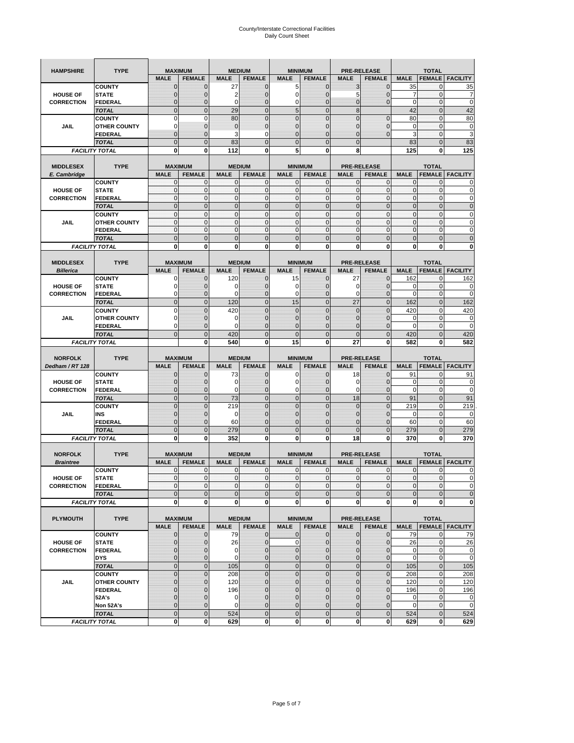| <b>HAMPSHIRE</b>                     | <b>TYPE</b>                           | <b>MAXIMUM</b>              |                               |                  | <b>MEDIUM</b>                 | <b>MINIMUM</b>                |                              |                               | <b>PRE-RELEASE</b>                  |                   | <b>TOTAL</b>                  |                        |
|--------------------------------------|---------------------------------------|-----------------------------|-------------------------------|------------------|-------------------------------|-------------------------------|------------------------------|-------------------------------|-------------------------------------|-------------------|-------------------------------|------------------------|
|                                      |                                       | <b>MALE</b>                 | <b>FEMALE</b>                 | <b>MALE</b>      | <b>FEMALE</b>                 | <b>MALE</b>                   | <b>FEMALE</b>                | <b>MALE</b>                   | <b>FEMALE</b>                       | <b>MALE</b>       | <b>FEMALE</b>                 | <b>FACILITY</b>        |
|                                      | <b>COUNTY</b>                         | $\mathbf 0$                 | $\overline{0}$                | 27               | $\mathbf 0$                   | 5                             | $\mathbf{0}$                 | 3                             | $\overline{0}$                      | 35                | 0                             | 35                     |
| <b>HOUSE OF</b>                      | <b>STATE</b>                          | ∩                           | 0                             | 2                | $\mathbf{0}$                  | 0                             | $\mathbf 0$                  | 5                             | 0                                   | 7                 | $\mathbf 0$                   | 7                      |
| <b>CORRECTION</b>                    | <b>FEDERAL</b>                        | $\mathbf{0}$                | 0                             | $\mathbf 0$      | $\mathbf{0}$                  | 0                             | $\mathbf{0}$                 | $\mathbf{0}$                  | $\overline{0}$                      | $\mathbf 0$       | $\mathbf 0$                   | $\mathbf 0$            |
|                                      | <b>TOTAL</b>                          | $\overline{0}$              | $\mathbf 0$                   | 29               | $\overline{0}$                | 5                             | $\overline{0}$               | $\boldsymbol{8}$              |                                     | 42                | $\mathbf 0$                   | 42                     |
|                                      | <b>COUNTY</b>                         | $\Omega$                    | $\mathbf 0$                   | 80               | $\mathbf{0}$                  | $\overline{0}$                | $\overline{0}$               | $\overline{0}$                | $\mathbf 0$                         | 80                | $\mathbf 0$                   | 80                     |
| JAIL                                 | <b>OTHER COUNTY</b>                   | 0                           | $\overline{0}$                | $\overline{0}$   | $\mathbf{0}$                  | $\overline{0}$                | $\mathbf{0}$                 | 0                             | $\overline{0}$                      | $\mathbf 0$       | $\mathbf{0}$                  | $\pmb{0}$              |
|                                      | <b>FEDERAL</b>                        | $\mathbf{0}$                | $\overline{0}$                | 3                | 0                             | $\overline{0}$                | $\overline{0}$               | $\mathbf{0}$                  | $\overline{0}$                      | 3                 | $\mathbf 0$                   | 3                      |
|                                      | <b>TOTAL</b>                          | $\Omega$                    | $\overline{0}$                | 83               | $\mathbf{0}$                  | $\bf 0$                       | $\overline{0}$               | $\mathbf{0}$                  |                                     | 83                | $\mathbf 0$                   | 83                     |
|                                      | <b>FACILITY TOTAL</b>                 | $\bf{0}$                    | 0                             | 112              | $\bf{0}$                      | 5                             | 0                            | 8                             |                                     | 125               | 0                             | 125                    |
|                                      | <b>TYPE</b>                           | <b>MAXIMUM</b>              |                               |                  | <b>MEDIUM</b>                 |                               |                              |                               |                                     |                   | <b>TOTAL</b>                  |                        |
| <b>MIDDLESEX</b><br>E. Cambridge     |                                       | <b>MALE</b>                 | <b>FEMALE</b>                 | <b>MALE</b>      | <b>FEMALE</b>                 | <b>MINIMUM</b><br><b>MALE</b> | <b>FEMALE</b>                | <b>MALE</b>                   | <b>PRE-RELEASE</b><br><b>FEMALE</b> | <b>MALE</b>       | <b>FEMALE</b>                 | <b>FACILITY</b>        |
|                                      | <b>COUNTY</b>                         | 0                           | $\mathbf 0$                   | 0                | 0                             | 0                             | $\mathbf{0}$                 | $\mathbf 0$                   | 0                                   | 0                 | $\mathbf{0}$                  | 0                      |
| <b>HOUSE OF</b>                      | <b>STATE</b>                          | $\pmb{0}$                   | $\mathbf{0}$                  | $\mathbf 0$      | $\mathbf 0$                   | 0                             | $\mathbf{0}$                 | $\mathbf 0$                   | 0                                   | $\mathbf 0$       | $\mathbf 0$                   | $\mathbf 0$            |
| <b>CORRECTION</b>                    | <b>FEDERAL</b>                        | $\mathbf{0}$                | $\mathbf{0}$                  | $\mathbf 0$      | $\mathbf{0}$                  | $\mathbf{0}$                  | $\mathbf{0}$                 | $\mathbf{0}$                  | $\mathbf 0$                         | $\mathbf 0$       | $\mathbf 0$                   | $\pmb{0}$              |
|                                      | <b>TOTAL</b>                          | $\mathbf{0}$                | $\overline{0}$                | $\overline{0}$   | $\mathbf{0}$                  | $\overline{0}$                | $\mathbf{0}$                 | $\mathbf{0}$                  | $\overline{0}$                      | $\overline{0}$    | $\overline{0}$                | $\pmb{0}$              |
|                                      | <b>COUNTY</b>                         | $\mathbf{0}$                | $\mathbf{0}$                  | $\mathbf 0$      | $\mathbf{0}$                  | $\mathbf{0}$                  | $\mathbf{0}$                 | $\mathbf{O}$                  | $\overline{0}$                      | $\mathbf 0$       | $\mathbf{0}$                  | $\pmb{0}$              |
| JAIL                                 | <b>OTHER COUNTY</b>                   | $\Omega$                    | $\mathbf 0$                   | $\mathbf{0}$     | $\Omega$                      | $\mathbf{0}$                  | $\mathbf{0}$                 | $\mathbf{0}$                  | $\overline{0}$                      | $\mathbf 0$       | $\mathbf{0}$                  | $\mathbf 0$            |
|                                      | <b>FEDERAL</b>                        | $\mathbf{0}$                | $\mathbf 0$                   | $\mathbf 0$      | $\mathbf{O}$                  | 0                             | $\mathbf{0}$                 | $\mathbf{O}$                  | 0                                   | $\mathbf 0$       | $\mathbf 0$                   | $\mathbf 0$            |
|                                      | <b>TOTAL</b>                          | $\mathbf{0}$                | $\overline{0}$                | $\overline{0}$   | $\mathbf{0}$                  | $\mathbf 0$                   | $\mathbf 0$                  | $\mathbf{0}$                  | $\overline{0}$                      | $\mathbf 0$       | $\overline{0}$                | $\mathbf 0$            |
|                                      | <b>FACILITY TOTAL</b>                 | 0                           | $\bf{0}$                      | 0                | 0                             | 0                             | 0                            | 0                             | 0                                   | 0                 | 0                             | $\bf{0}$               |
| <b>MIDDLESEX</b>                     |                                       | <b>MAXIMUM</b>              |                               |                  | <b>MEDIUM</b>                 |                               |                              |                               |                                     |                   |                               |                        |
| <b>Billerica</b>                     | <b>TYPE</b>                           | <b>MALE</b>                 | <b>FEMALE</b>                 | <b>MALE</b>      | <b>FEMALE</b>                 | <b>MINIMUM</b><br><b>MALE</b> | <b>FEMALE</b>                | <b>MALE</b>                   | <b>PRE-RELEASE</b><br><b>FEMALE</b> | <b>MALE</b>       | <b>TOTAL</b><br><b>FEMALE</b> | <b>FACILITY</b>        |
|                                      | <b>COUNTY</b>                         | 0                           | $\overline{0}$                | 120              | $\mathbf 0$                   | 15                            | $\mathbf 0$                  | 27                            | $\overline{0}$                      | 162               | $\mathbf{0}$                  | 162                    |
| <b>HOUSE OF</b>                      | <b>STATE</b>                          |                             | $\overline{0}$                | 0                | $\mathbf 0$                   | 0                             | $\overline{0}$               | 0                             | $\overline{0}$                      | 0                 | $\mathbf{0}$                  | 0                      |
| <b>CORRECTION</b>                    | FEDERAL                               | $\Omega$                    | 0                             | 0                | $\mathbf{0}$                  | 0                             | $\mathbf{0}$                 | $\mathbf 0$                   | 0                                   | $\overline{0}$    | $\mathbf 0$                   | $\mathbf 0$            |
|                                      | <b>TOTAL</b>                          | $\mathbf{0}$                | $\overline{0}$                | 120              | $\mathbf{0}$                  | 15                            | $\mathbf{0}$                 | 27                            | $\overline{0}$                      | 162               | $\overline{0}$                | 162                    |
|                                      | <b>COUNTY</b>                         | $\Omega$                    | $\overline{0}$                | 420              | $\mathbf 0$                   | $\overline{0}$                | $\Omega$                     | $\mathbf{0}$                  | $\overline{0}$                      | 420               | $\mathbf{0}$                  | 420                    |
| JAIL                                 | <b>OTHER COUNTY</b>                   | $\Omega$                    | 0                             | 0                | $\overline{0}$                | 0                             | $\mathbf{0}$                 | $\overline{0}$                | 0                                   | 0                 | $\mathbf{0}$                  | $\mathbf 0$            |
|                                      | <b>FEDERAL</b>                        | 0                           | $\overline{0}$                | $\mathbf 0$      | $\mathbf 0$                   | $\overline{0}$                | $\mathbf 0$                  | 0                             | $\overline{0}$                      | $\mathbf 0$       | $\mathbf{0}$                  | $\mathbf 0$            |
|                                      | <b>TOTAL</b>                          | $\Omega$                    | $\mathbf 0$                   | 420              | $\mathbf{0}$                  | $\mathbf 0$                   | $\mathbf 0$                  | $\mathbf{0}$                  | $\overline{0}$                      | 420               | $\mathbf 0$                   | 420                    |
|                                      | <b>FACILITY TOTAL</b>                 |                             | $\mathbf 0$                   | 540              | $\bf{0}$                      | 15                            | 0                            | 27                            | 0                                   | 582               | $\bf{0}$                      | 582                    |
|                                      |                                       |                             |                               |                  |                               |                               |                              |                               |                                     |                   |                               |                        |
|                                      |                                       |                             |                               |                  |                               |                               |                              |                               |                                     |                   |                               |                        |
| <b>NORFOLK</b>                       | <b>TYPE</b>                           | <b>MAXIMUM</b>              |                               |                  | <b>MEDIUM</b>                 | <b>MINIMUM</b>                |                              |                               | <b>PRE-RELEASE</b>                  |                   | <b>TOTAL</b>                  |                        |
| Dedham / RT 128                      |                                       | <b>MALE</b>                 | <b>FEMALE</b>                 | <b>MALE</b>      | <b>FEMALE</b>                 | <b>MALE</b>                   | <b>FEMALE</b>                | <b>MALE</b>                   | <b>FEMALE</b>                       | <b>MALE</b>       | <b>FEMALE</b>                 | <b>FACILITY</b>        |
|                                      | <b>COUNTY</b>                         | $\Omega$<br>$\Omega$        | $\overline{0}$                | 73               | 0                             | 0                             | $\mathbf 0$                  | 18                            | $\overline{0}$                      | 91                | 0                             | 91                     |
| <b>HOUSE OF</b>                      | <b>STATE</b>                          | $\Omega$                    | $\overline{0}$                | 0                | $\mathbf{0}$                  | 0                             | $\overline{0}$               | 0                             | $\overline{0}$                      | 0                 | 0                             | $\mathbf 0$            |
| <b>CORRECTION</b>                    | <b>FEDERAL</b>                        | $\Omega$                    | 0<br>$\overline{0}$           | 0                | $\mathbf{0}$<br>$\mathbf{0}$  | 0<br>$\mathbf 0$              | $\mathbf 0$<br>$\mathbf 0$   | 0<br>18                       | 0<br>$\overline{0}$                 | $\mathbf 0$       | $\mathbf 0$<br>$\mathbf 0$    | $\mathbf 0$            |
|                                      | <b>TOTAL</b><br><b>COUNTY</b>         | $\overline{0}$              | $\overline{0}$                | 73<br>219        | $\mathbf{0}$                  | $\overline{0}$                | $\overline{0}$               | 0                             | $\overline{0}$                      | 91<br>219         | $\mathbf 0$                   | 91<br>219              |
| JAIL                                 | INS                                   | $\mathbf{0}$                | 0                             | 0                | $\overline{0}$                | 0                             | $\mathbf{0}$                 | 0                             | 0                                   | 0                 | 0                             | 0                      |
|                                      | <b>FEDERAL</b>                        | $\Omega$                    | $\overline{0}$                | 60               | $\mathbf 0$                   | $\overline{0}$                | $\overline{0}$               | 0                             | $\overline{0}$                      | 60                | $\mathbf{0}$                  | 60                     |
|                                      | <b>TOTAL</b>                          | $\mathbf{0}$                | $\overline{0}$                | 279              | $\mathbf{0}$                  | $\overline{0}$                | $\overline{0}$               | $\Omega$                      | $\overline{0}$                      | 279               | $\overline{0}$                | 279                    |
|                                      | <b>FACILITY TOTAL</b>                 | $\mathbf 0$                 | $\mathbf 0$                   | 352              | 0                             | 0                             | 0                            | 18                            | 0                                   | 370               | $\bf{0}$                      | 370                    |
|                                      |                                       |                             |                               |                  |                               |                               |                              |                               |                                     |                   |                               |                        |
| <b>NORFOLK</b>                       | <b>TYPE</b>                           | <b>MAXIMUM</b>              |                               |                  | <b>MEDIUM</b>                 |                               | <b>MINIMUM</b>               |                               | <b>PRE-RELEASE</b>                  |                   | <b>TOTAL</b>                  |                        |
| <b>Braintree</b>                     |                                       | <b>MALE</b>                 | <b>FEMALE</b>                 | <b>MALE</b>      | <b>FEMALE</b>                 | <b>MALE</b>                   | <b>FEMALE</b>                | <b>MALE</b>                   | <b>FEMALE</b>                       | <b>MALE</b>       | <b>FEMALE</b>                 | <b>FACILITY</b>        |
|                                      | <b>COUNTY</b>                         | $\mathbf 0$<br>$\mathbf{0}$ | $\mathbf 0$<br>$\overline{0}$ | 0<br>$\mathbf 0$ | $\mathbf 0$<br>$\overline{0}$ | 0<br>$\overline{0}$           | $\mathbf{0}$<br>$\mathbf{0}$ | $\mathbf 0$<br>$\overline{0}$ | $\mathbf 0$<br>$\mathbf{0}$         | 0<br>$\mathbf{0}$ | 0<br>0                        | 0<br>$\Omega$          |
| <b>HOUSE OF</b><br><b>CORRECTION</b> | <b>STATE</b><br>FEDERAL               | $\mathbf 0$                 | 0                             | 0                | $\mathbf 0$                   | $\mathbf 0$                   | 0                            | $\mathbf 0$                   | $\mathbf 0$                         | $\pmb{0}$         | 0                             | $\mathbf 0$            |
|                                      | <b>TOTAL</b>                          | $\mathbf{0}$                | $\mathbf{0}$                  | $\mathbf 0$      | $\mathbf{0}$                  | $\bf 0$                       | $\pmb{0}$                    | $\mathbf{0}$                  | $\mathbf 0$                         | $\mathbf 0$       | $\mathbf 0$                   | $\mathbf 0$            |
|                                      | <b>FACILITY TOTAL</b>                 | $\mathbf{0}$                | $\mathbf{0}$                  | 0                | $\mathbf{0}$                  | $\mathbf{0}$                  | $\bf{0}$                     | $\mathbf 0$                   | $\mathbf{0}$                        | $\mathbf 0$       | 0                             | $\mathbf 0$            |
|                                      |                                       |                             |                               |                  |                               |                               |                              |                               |                                     |                   |                               |                        |
| <b>PLYMOUTH</b>                      | <b>TYPE</b>                           |                             | <b>MAXIMUM</b>                |                  | <b>MEDIUM</b>                 |                               | <b>MINIMUM</b>               |                               | <b>PRE-RELEASE</b>                  |                   | <b>TOTAL</b>                  |                        |
|                                      |                                       | <b>MALE</b>                 | <b>FEMALE</b>                 | <b>MALE</b>      | <b>FEMALE</b>                 | <b>MALE</b>                   | <b>FEMALE</b>                | <b>MALE</b>                   | <b>FEMALE</b>                       | <b>MALE</b>       |                               | <b>FEMALE FACILITY</b> |
|                                      | <b>COUNTY</b>                         | $\mathbf{0}$                | $\mathbf{0}$                  | 79               | $\mathbf{0}$                  | 0                             | $\mathbf{0}$                 | $\mathbf{0}$                  | $\overline{0}$                      | 79                | $\mathbf 0$                   | 79                     |
| <b>HOUSE OF</b>                      | <b>STATE</b>                          | $\mathbf{0}$                | 0                             | 26               | $\mathbf{0}$                  | 0                             | $\pmb{0}$                    | $\mathbf 0$                   | $\overline{0}$                      | 26                | $\mathbf{0}$                  | 26                     |
| <b>CORRECTION</b>                    | <b>FEDERAL</b>                        | $\Omega$                    | 0                             | $\mathbf 0$      | $\mathbf{0}$                  | 0                             | $\mathbf{0}$                 | $\mathbf{0}$                  | 0                                   | 0                 | $\mathbf{0}$                  | $\mathbf 0$            |
|                                      | <b>DYS</b>                            | $\mathbf{0}$                | 0                             | $\mathbf 0$      | $\mathbf 0$                   | 0                             | $\pmb{0}$                    | $\mathbf 0$                   | $\overline{0}$                      | $\mathbf 0$       | $\mathbf 0$                   | $\mathbf 0$            |
|                                      | <b>TOTAL</b>                          | $\mathbf 0$                 | $\mathbf 0$                   | 105              | $\mathbf 0$                   | $\mathbf 0$                   | $\mathbf 0$                  | $\mathbf 0$                   | $\mathbf 0$                         | 105               | $\mathbf 0$                   | 105                    |
|                                      | <b>COUNTY</b>                         | $\overline{0}$              | $\overline{0}$                | 208              | $\pmb{0}$                     | $\mathbf 0$                   | $\mathbf 0$                  | $\pmb{0}$                     | $\mathbf 0$                         | 208               | $\mathbf{0}$                  | 208                    |
| JAIL                                 | <b>OTHER COUNTY</b><br><b>FEDERAL</b> | $\mathbf{0}$<br>$\Omega$    | 0                             | 120<br>196       | $\overline{0}$<br>$\mathbf 0$ | 0<br>0                        | $\mathbf{0}$<br>$\mathbf{0}$ | 0<br>0                        | $\overline{0}$<br>0                 | 120<br>196        | $\mathbf{0}$<br>$\mathbf 0$   | 120                    |
|                                      | 52A's                                 | $\Omega$                    | 0<br>$\overline{0}$           | $\mathbf 0$      | $\overline{0}$                | $\overline{0}$                | $\mathbf 0$                  | $\overline{0}$                | $\overline{0}$                      | $\mathbf 0$       | $\mathbf 0$                   | 196<br>$\mathbf 0$     |
|                                      | Non 52A's                             | $\mathbf{0}$                | 0                             | 0                | $\mathbf{0}$                  | 0                             | $\mathbf 0$                  | $\mathbf 0$                   | 0                                   | 0                 | 0                             |                        |
|                                      | <b>TOTAL</b>                          | $\overline{0}$              | $\overline{0}$                | 524              | $\overline{0}$                | $\overline{0}$                | $\mathbf 0$                  | $\mathbf{0}$                  | $\mathbf 0$                         | 524               | $\mathbf 0$                   | $\mathbf 0$<br>524     |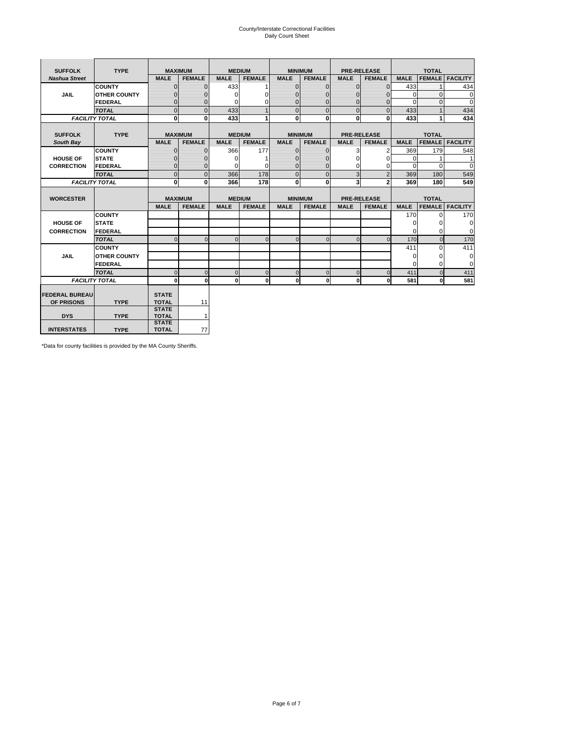# County/Interstate Correctional Facilities Daily Count Sheet

| <b>SUFFOLK</b>        | <b>TYPE</b>           |                              | <b>MAXIMUM</b> | <b>MEDIUM</b> |                |                | <b>MINIMUM</b> |              | <b>PRE-RELEASE</b> |             | <b>TOTAL</b>  |                 |
|-----------------------|-----------------------|------------------------------|----------------|---------------|----------------|----------------|----------------|--------------|--------------------|-------------|---------------|-----------------|
| <b>Nashua Street</b>  |                       | <b>MALE</b>                  | <b>FEMALE</b>  | <b>MALE</b>   | <b>FEMALE</b>  | <b>MALE</b>    | <b>FEMALE</b>  | <b>MALE</b>  | <b>FEMALE</b>      | <b>MALE</b> | <b>FEMALE</b> | <b>FACILITY</b> |
|                       | <b>COUNTY</b>         | $\Omega$                     | $\Omega$       | 433           |                | $\mathbf{0}$   | $\Omega$       | $\Omega$     | $\Omega$           | 433         |               | 434             |
| <b>JAIL</b>           | <b>OTHER COUNTY</b>   | $\Omega$                     | 0              | $\Omega$      | 0              | $\Omega$       | $\Omega$       | $\Omega$     | 0                  | $\Omega$    | $\Omega$      | $\mathbf 0$     |
|                       | <b>FEDERAL</b>        | $\Omega$                     | $\Omega$       | 0             | 0              | $\mathbf{0}$   | $\Omega$       | $\Omega$     | $\Omega$           | $\Omega$    | $\Omega$      | $\Omega$        |
|                       | <b>TOTAL</b>          | $\mathbf 0$                  | $\overline{0}$ | 433           | 1              | $\overline{0}$ | $\overline{0}$ | $\Omega$     | $\Omega$           | 433         |               | 434             |
|                       | <b>FACILITY TOTAL</b> | 0                            | 0              | 433           | 1              | $\mathbf{0}$   | $\bf{0}$       | $\mathbf{0}$ | 0                  | 433         |               | 434             |
|                       |                       |                              |                |               |                |                |                |              |                    |             |               |                 |
| <b>SUFFOLK</b>        | <b>TYPE</b>           |                              | <b>MAXIMUM</b> | <b>MEDIUM</b> |                |                | <b>MINIMUM</b> |              | <b>PRE-RELEASE</b> |             | <b>TOTAL</b>  |                 |
| South Bay             |                       | <b>MALE</b>                  | <b>FEMALE</b>  | <b>MALE</b>   | <b>FEMALE</b>  | <b>MALE</b>    | <b>FEMALE</b>  | <b>MALE</b>  | <b>FEMALE</b>      | <b>MALE</b> | <b>FEMALE</b> | <b>FACILITY</b> |
|                       | <b>COUNTY</b>         | $\mathbf{0}$                 | $\mathbf{0}$   | 366           | 177            | $\mathbf{0}$   | $\mathbf{0}$   | 3            | 2                  | 369         | 179           | 548             |
| <b>HOUSE OF</b>       | <b>STATE</b>          | ŋ                            | 0              | $\Omega$      |                | $\Omega$       | $\Omega$       | $\Omega$     | $\Omega$           | $\Omega$    |               | 1               |
| <b>CORRECTION</b>     | FEDERAL               | $\Omega$                     | $\mathbf{0}$   | O             | 0              | $\mathbf{0}$   | $\mathbf{0}$   | $\Omega$     | 0                  | $\Omega$    | $\Omega$      | $\Omega$        |
|                       | <b>TOTAL</b>          | $\mathbf{0}$                 | $\overline{0}$ | 366           | 178            | $\overline{0}$ | $\overline{0}$ | 3            | $\overline{2}$     | 369         | 180           | 549             |
|                       | <b>FACILITY TOTAL</b> | $\bf{0}$                     | 0              | 366           | 178            | $\mathbf{0}$   | $\bf{0}$       | 3            | $\overline{2}$     | 369         | 180           | 549             |
|                       |                       |                              |                |               |                |                |                |              |                    |             |               |                 |
| <b>WORCESTER</b>      |                       |                              | <b>MAXIMUM</b> | <b>MEDIUM</b> |                |                | <b>MINIMUM</b> |              | <b>PRE-RELEASE</b> |             | <b>TOTAL</b>  |                 |
|                       |                       | <b>MALE</b>                  | <b>FEMALE</b>  | <b>MALE</b>   | <b>FEMALE</b>  | <b>MALE</b>    | <b>FEMALE</b>  | <b>MALE</b>  | <b>FEMALE</b>      | <b>MALE</b> | <b>FEMALE</b> | <b>FACILITY</b> |
|                       | <b>COUNTY</b>         |                              |                |               |                |                |                |              |                    | 170         | $\Omega$      | 170             |
| <b>HOUSE OF</b>       | <b>STATE</b>          |                              |                |               |                |                |                |              |                    | 0           | 0             | 0               |
| <b>CORRECTION</b>     | FEDERAL               |                              |                |               |                |                |                |              |                    | $\Omega$    | $\Omega$      | $\Omega$        |
|                       | <b>TOTAL</b>          | $\Omega$                     | $\Omega$       | $\Omega$      | $\overline{0}$ | $\Omega$       | $\Omega$       | $\Omega$     | $\Omega$           | 170         | $\Omega$      | 170             |
|                       | <b>COUNTY</b>         |                              |                |               |                |                |                |              |                    | 411         | $\Omega$      | 411             |
| <b>JAIL</b>           | <b>OTHER COUNTY</b>   |                              |                |               |                |                |                |              |                    | 0           | 0             | 0               |
|                       | FEDERAL               |                              |                |               |                |                |                |              |                    | $\Omega$    | $\Omega$      | $\Omega$        |
|                       | <b>TOTAL</b>          | $\Omega$                     | $\Omega$       | $\Omega$      | $\mathbf{0}$   | $\mathbf 0$    | $\mathbf 0$    | $\Omega$     | $\Omega$           | 411         | $\Omega$      | 411             |
|                       | <b>FACILITY TOTAL</b> | 0                            | $\mathbf{0}$   | $\Omega$      | $\mathbf{0}$   | $\mathbf{0}$   | $\bf{0}$       | $\mathbf 0$  | 0                  | 581         | O             | 581             |
|                       |                       |                              |                |               |                |                |                |              |                    |             |               |                 |
| <b>FEDERAL BUREAU</b> | <b>TYPE</b>           | <b>STATE</b><br><b>TOTAL</b> |                |               |                |                |                |              |                    |             |               |                 |
| OF PRISONS            |                       | <b>STATE</b>                 | 11             |               |                |                |                |              |                    |             |               |                 |
| <b>DYS</b>            | <b>TYPE</b>           | <b>TOTAL</b>                 | 1              |               |                |                |                |              |                    |             |               |                 |
|                       |                       | <b>STATE</b>                 |                |               |                |                |                |              |                    |             |               |                 |
| <b>INTERSTATES</b>    | <b>TYPE</b>           | <b>TOTAL</b>                 | 77             |               |                |                |                |              |                    |             |               |                 |

\*Data for county facilities is provided by the MA County Sheriffs.